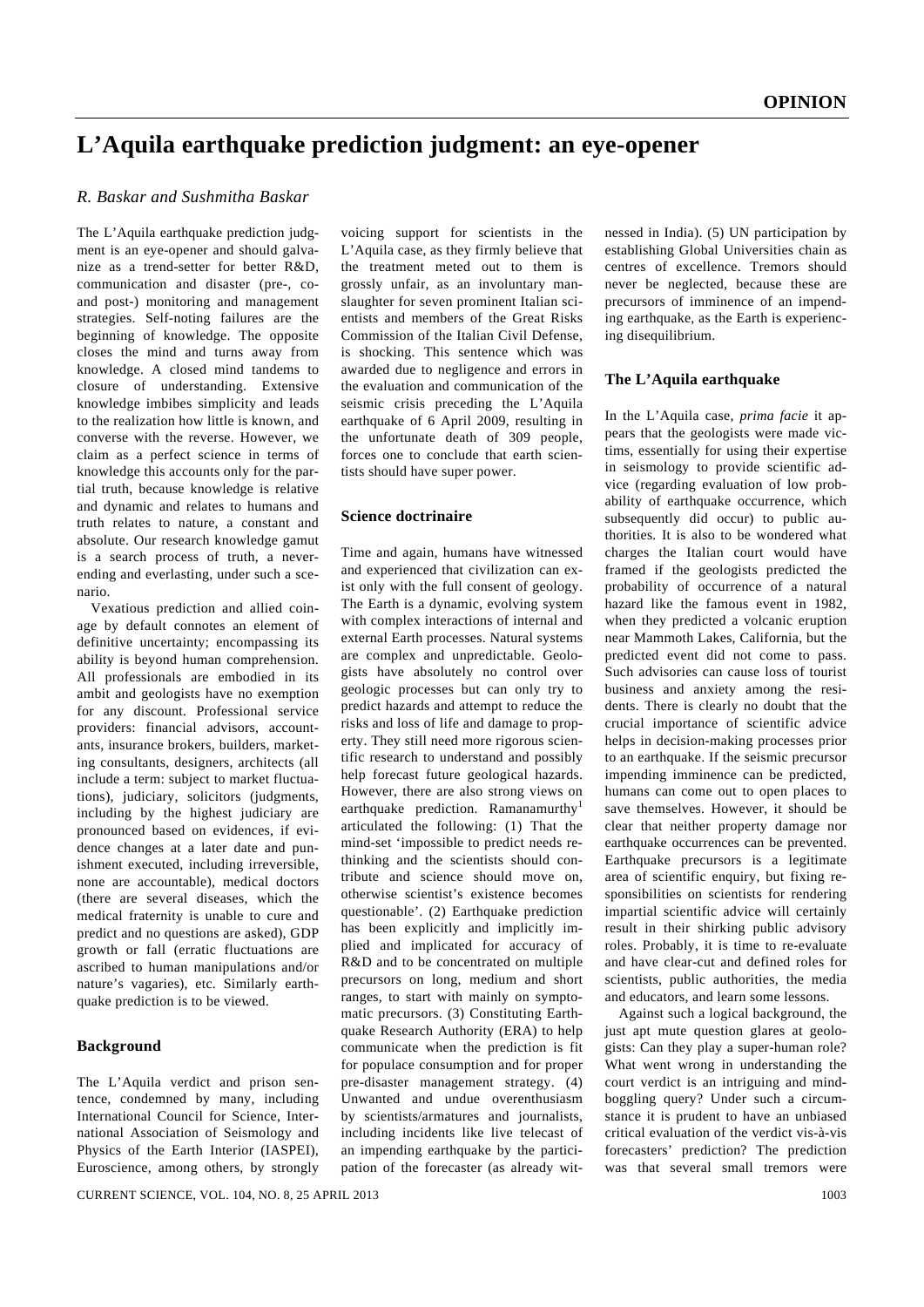# **L'Aquila earthquake prediction judgment: an eye-opener**

## *R. Baskar and Sushmitha Baskar*

The L'Aquila earthquake prediction judgment is an eye-opener and should galvanize as a trend-setter for better R&D, communication and disaster (pre-, coand post-) monitoring and management strategies. Self-noting failures are the beginning of knowledge. The opposite closes the mind and turns away from knowledge. A closed mind tandems to closure of understanding. Extensive knowledge imbibes simplicity and leads to the realization how little is known, and converse with the reverse. However, we claim as a perfect science in terms of knowledge this accounts only for the partial truth, because knowledge is relative and dynamic and relates to humans and truth relates to nature, a constant and absolute. Our research knowledge gamut is a search process of truth, a neverending and everlasting, under such a scenario.

 Vexatious prediction and allied coinage by default connotes an element of definitive uncertainty; encompassing its ability is beyond human comprehension. All professionals are embodied in its ambit and geologists have no exemption for any discount. Professional service providers: financial advisors, accountants, insurance brokers, builders, marketing consultants, designers, architects (all include a term: subject to market fluctuations), judiciary, solicitors (judgments, including by the highest judiciary are pronounced based on evidences, if evidence changes at a later date and punishment executed, including irreversible, none are accountable), medical doctors (there are several diseases, which the medical fraternity is unable to cure and predict and no questions are asked), GDP growth or fall (erratic fluctuations are ascribed to human manipulations and/or nature's vagaries), etc. Similarly earthquake prediction is to be viewed.

### **Background**

The L'Aquila verdict and prison sentence, condemned by many, including International Council for Science, International Association of Seismology and Physics of the Earth Interior (IASPEI), Euroscience, among others, by strongly

voicing support for scientists in the L'Aquila case, as they firmly believe that the treatment meted out to them is grossly unfair, as an involuntary manslaughter for seven prominent Italian scientists and members of the Great Risks Commission of the Italian Civil Defense, is shocking. This sentence which was awarded due to negligence and errors in the evaluation and communication of the seismic crisis preceding the L'Aquila earthquake of 6 April 2009, resulting in the unfortunate death of 309 people, forces one to conclude that earth scientists should have super power.

#### **Science doctrinaire**

Time and again, humans have witnessed and experienced that civilization can exist only with the full consent of geology. The Earth is a dynamic, evolving system with complex interactions of internal and external Earth processes. Natural systems are complex and unpredictable. Geologists have absolutely no control over geologic processes but can only try to predict hazards and attempt to reduce the risks and loss of life and damage to property. They still need more rigorous scientific research to understand and possibly help forecast future geological hazards. However, there are also strong views on earthquake prediction. Ramanamurthy<sup>1</sup> articulated the following: (1) That the mind-set 'impossible to predict needs rethinking and the scientists should contribute and science should move on, otherwise scientist's existence becomes questionable'. (2) Earthquake prediction has been explicitly and implicitly implied and implicated for accuracy of R&D and to be concentrated on multiple precursors on long, medium and short ranges, to start with mainly on symptomatic precursors. (3) Constituting Earthquake Research Authority (ERA) to help communicate when the prediction is fit for populace consumption and for proper pre-disaster management strategy. (4) Unwanted and undue overenthusiasm by scientists/armatures and journalists, including incidents like live telecast of an impending earthquake by the participation of the forecaster (as already witnessed in India). (5) UN participation by establishing Global Universities chain as centres of excellence. Tremors should never be neglected, because these are precursors of imminence of an impending earthquake, as the Earth is experiencing disequilibrium.

### **The L'Aquila earthquake**

In the L'Aquila case, *prima facie* it appears that the geologists were made victims, essentially for using their expertise in seismology to provide scientific advice (regarding evaluation of low probability of earthquake occurrence, which subsequently did occur) to public authorities. It is also to be wondered what charges the Italian court would have framed if the geologists predicted the probability of occurrence of a natural hazard like the famous event in 1982, when they predicted a volcanic eruption near Mammoth Lakes, California, but the predicted event did not come to pass. Such advisories can cause loss of tourist business and anxiety among the residents. There is clearly no doubt that the crucial importance of scientific advice helps in decision-making processes prior to an earthquake. If the seismic precursor impending imminence can be predicted, humans can come out to open places to save themselves. However, it should be clear that neither property damage nor earthquake occurrences can be prevented. Earthquake precursors is a legitimate area of scientific enquiry, but fixing responsibilities on scientists for rendering impartial scientific advice will certainly result in their shirking public advisory roles. Probably, it is time to re-evaluate and have clear-cut and defined roles for scientists, public authorities, the media and educators, and learn some lessons.

 Against such a logical background, the just apt mute question glares at geologists: Can they play a super-human role? What went wrong in understanding the court verdict is an intriguing and mindboggling query? Under such a circumstance it is prudent to have an unbiased critical evaluation of the verdict vis-à-vis forecasters' prediction? The prediction was that several small tremors were